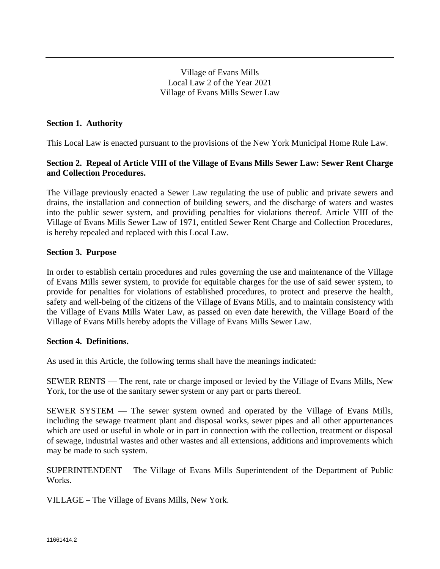## **Section 1. Authority**

This Local Law is enacted pursuant to the provisions of the New York Municipal Home Rule Law.

# **Section 2. Repeal of Article VIII of the Village of Evans Mills Sewer Law: Sewer Rent Charge and Collection Procedures.**

The Village previously enacted a Sewer Law regulating the use of public and private sewers and drains, the installation and connection of building sewers, and the discharge of waters and wastes into the public sewer system, and providing penalties for violations thereof. Article VIII of the Village of Evans Mills Sewer Law of 1971, entitled Sewer Rent Charge and Collection Procedures, is hereby repealed and replaced with this Local Law.

### **Section 3. Purpose**

In order to establish certain procedures and rules governing the use and maintenance of the Village of Evans Mills sewer system, to provide for equitable charges for the use of said sewer system, to provide for penalties for violations of established procedures, to protect and preserve the health, safety and well-being of the citizens of the Village of Evans Mills, and to maintain consistency with the Village of Evans Mills Water Law, as passed on even date herewith, the Village Board of the Village of Evans Mills hereby adopts the Village of Evans Mills Sewer Law.

### **Section 4. Definitions.**

As used in this Article, the following terms shall have the meanings indicated:

SEWER RENTS — The rent, rate or charge imposed or levied by the Village of Evans Mills, New York, for the use of the sanitary sewer system or any part or parts thereof.

SEWER SYSTEM — The sewer system owned and operated by the Village of Evans Mills, including the sewage treatment plant and disposal works, sewer pipes and all other appurtenances which are used or useful in whole or in part in connection with the collection, treatment or disposal of sewage, industrial wastes and other wastes and all extensions, additions and improvements which may be made to such system.

SUPERINTENDENT – The Village of Evans Mills Superintendent of the Department of Public Works.

VILLAGE – The Village of Evans Mills, New York.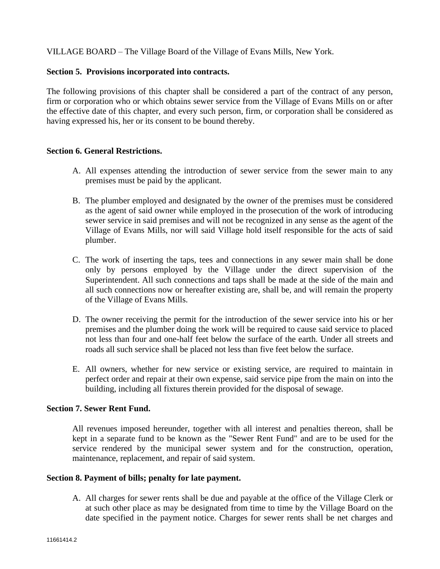VILLAGE BOARD – The Village Board of the Village of Evans Mills, New York.

## **Section 5. Provisions incorporated into contracts.**

The following provisions of this chapter shall be considered a part of the contract of any person, firm or corporation who or which obtains sewer service from the Village of Evans Mills on or after the effective date of this chapter, and every such person, firm, or corporation shall be considered as having expressed his, her or its consent to be bound thereby.

### **Section 6. General Restrictions.**

- A. All expenses attending the introduction of sewer service from the sewer main to any premises must be paid by the applicant.
- B. The plumber employed and designated by the owner of the premises must be considered as the agent of said owner while employed in the prosecution of the work of introducing sewer service in said premises and will not be recognized in any sense as the agent of the Village of Evans Mills, nor will said Village hold itself responsible for the acts of said plumber.
- C. The work of inserting the taps, tees and connections in any sewer main shall be done only by persons employed by the Village under the direct supervision of the Superintendent. All such connections and taps shall be made at the side of the main and all such connections now or hereafter existing are, shall be, and will remain the property of the Village of Evans Mills.
- D. The owner receiving the permit for the introduction of the sewer service into his or her premises and the plumber doing the work will be required to cause said service to placed not less than four and one-half feet below the surface of the earth. Under all streets and roads all such service shall be placed not less than five feet below the surface.
- E. All owners, whether for new service or existing service, are required to maintain in perfect order and repair at their own expense, said service pipe from the main on into the building, including all fixtures therein provided for the disposal of sewage.

# **Section 7. Sewer Rent Fund.**

All revenues imposed hereunder, together with all interest and penalties thereon, shall be kept in a separate fund to be known as the "Sewer Rent Fund" and are to be used for the service rendered by the municipal sewer system and for the construction, operation, maintenance, replacement, and repair of said system.

#### **Section 8. Payment of bills; penalty for late payment.**

A. All charges for sewer rents shall be due and payable at the office of the Village Clerk or at such other place as may be designated from time to time by the Village Board on the date specified in the payment notice. Charges for sewer rents shall be net charges and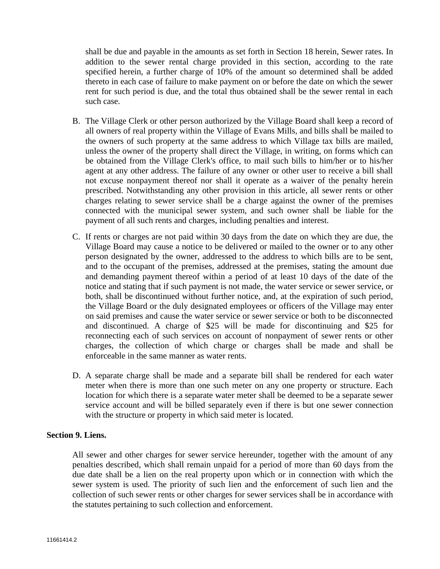shall be due and payable in the amounts as set forth in Section 18 herein, Sewer rates. In addition to the sewer rental charge provided in this section, according to the rate specified herein, a further charge of 10% of the amount so determined shall be added thereto in each case of failure to make payment on or before the date on which the sewer rent for such period is due, and the total thus obtained shall be the sewer rental in each such case.

- B. The Village Clerk or other person authorized by the Village Board shall keep a record of all owners of real property within the Village of Evans Mills, and bills shall be mailed to the owners of such property at the same address to which Village tax bills are mailed, unless the owner of the property shall direct the Village, in writing, on forms which can be obtained from the Village Clerk's office, to mail such bills to him/her or to his/her agent at any other address. The failure of any owner or other user to receive a bill shall not excuse nonpayment thereof nor shall it operate as a waiver of the penalty herein prescribed. Notwithstanding any other provision in this article, all sewer rents or other charges relating to sewer service shall be a charge against the owner of the premises connected with the municipal sewer system, and such owner shall be liable for the payment of all such rents and charges, including penalties and interest.
- C. If rents or charges are not paid within 30 days from the date on which they are due, the Village Board may cause a notice to be delivered or mailed to the owner or to any other person designated by the owner, addressed to the address to which bills are to be sent, and to the occupant of the premises, addressed at the premises, stating the amount due and demanding payment thereof within a period of at least 10 days of the date of the notice and stating that if such payment is not made, the water service or sewer service, or both, shall be discontinued without further notice, and, at the expiration of such period, the Village Board or the duly designated employees or officers of the Village may enter on said premises and cause the water service or sewer service or both to be disconnected and discontinued. A charge of \$25 will be made for discontinuing and \$25 for reconnecting each of such services on account of nonpayment of sewer rents or other charges, the collection of which charge or charges shall be made and shall be enforceable in the same manner as water rents.
- D. A separate charge shall be made and a separate bill shall be rendered for each water meter when there is more than one such meter on any one property or structure. Each location for which there is a separate water meter shall be deemed to be a separate sewer service account and will be billed separately even if there is but one sewer connection with the structure or property in which said meter is located.

### **Section 9. Liens.**

All sewer and other charges for sewer service hereunder, together with the amount of any penalties described, which shall remain unpaid for a period of more than 60 days from the due date shall be a lien on the real property upon which or in connection with which the sewer system is used. The priority of such lien and the enforcement of such lien and the collection of such sewer rents or other charges for sewer services shall be in accordance with the statutes pertaining to such collection and enforcement.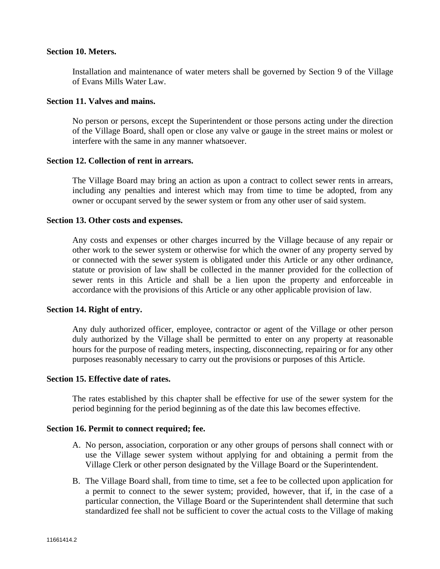#### **Section 10. Meters.**

Installation and maintenance of water meters shall be governed by Section 9 of the Village of Evans Mills Water Law.

#### **Section 11. Valves and mains.**

No person or persons, except the Superintendent or those persons acting under the direction of the Village Board, shall open or close any valve or gauge in the street mains or molest or interfere with the same in any manner whatsoever.

### **Section 12. Collection of rent in arrears.**

The Village Board may bring an action as upon a contract to collect sewer rents in arrears, including any penalties and interest which may from time to time be adopted, from any owner or occupant served by the sewer system or from any other user of said system.

### **Section 13. Other costs and expenses.**

Any costs and expenses or other charges incurred by the Village because of any repair or other work to the sewer system or otherwise for which the owner of any property served by or connected with the sewer system is obligated under this Article or any other ordinance, statute or provision of law shall be collected in the manner provided for the collection of sewer rents in this Article and shall be a lien upon the property and enforceable in accordance with the provisions of this Article or any other applicable provision of law.

#### **Section 14. Right of entry.**

Any duly authorized officer, employee, contractor or agent of the Village or other person duly authorized by the Village shall be permitted to enter on any property at reasonable hours for the purpose of reading meters, inspecting, disconnecting, repairing or for any other purposes reasonably necessary to carry out the provisions or purposes of this Article.

### **Section 15. Effective date of rates.**

The rates established by this chapter shall be effective for use of the sewer system for the period beginning for the period beginning as of the date this law becomes effective.

#### **Section 16. Permit to connect required; fee.**

- A. No person, association, corporation or any other groups of persons shall connect with or use the Village sewer system without applying for and obtaining a permit from the Village Clerk or other person designated by the Village Board or the Superintendent.
- B. The Village Board shall, from time to time, set a fee to be collected upon application for a permit to connect to the sewer system; provided, however, that if, in the case of a particular connection, the Village Board or the Superintendent shall determine that such standardized fee shall not be sufficient to cover the actual costs to the Village of making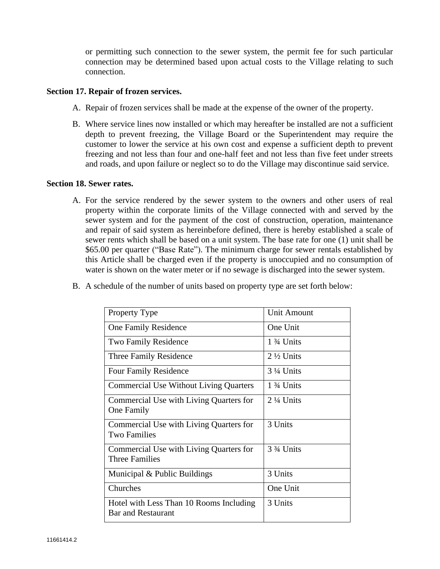or permitting such connection to the sewer system, the permit fee for such particular connection may be determined based upon actual costs to the Village relating to such connection.

### **Section 17. Repair of frozen services.**

- A. Repair of frozen services shall be made at the expense of the owner of the property.
- B. Where service lines now installed or which may hereafter be installed are not a sufficient depth to prevent freezing, the Village Board or the Superintendent may require the customer to lower the service at his own cost and expense a sufficient depth to prevent freezing and not less than four and one-half feet and not less than five feet under streets and roads, and upon failure or neglect so to do the Village may discontinue said service.

#### **Section 18. Sewer rates.**

A. For the service rendered by the sewer system to the owners and other users of real property within the corporate limits of the Village connected with and served by the sewer system and for the payment of the cost of construction, operation, maintenance and repair of said system as hereinbefore defined, there is hereby established a scale of sewer rents which shall be based on a unit system. The base rate for one (1) unit shall be \$65.00 per quarter ("Base Rate"). The minimum charge for sewer rentals established by this Article shall be charged even if the property is unoccupied and no consumption of water is shown on the water meter or if no sewage is discharged into the sewer system.

|  | B. A schedule of the number of units based on property type are set forth below: |  |  |  |  |  |  |  |  |  |  |
|--|----------------------------------------------------------------------------------|--|--|--|--|--|--|--|--|--|--|
|--|----------------------------------------------------------------------------------|--|--|--|--|--|--|--|--|--|--|

| Property Type                                                        | <b>Unit Amount</b>   |  |  |  |
|----------------------------------------------------------------------|----------------------|--|--|--|
| One Family Residence                                                 | One Unit             |  |  |  |
| <b>Two Family Residence</b>                                          | $1\frac{3}{4}$ Units |  |  |  |
| Three Family Residence                                               | $2\frac{1}{2}$ Units |  |  |  |
| <b>Four Family Residence</b>                                         | $3\frac{1}{4}$ Units |  |  |  |
| <b>Commercial Use Without Living Quarters</b>                        | $1\frac{3}{4}$ Units |  |  |  |
| Commercial Use with Living Quarters for<br><b>One Family</b>         | $2\frac{1}{4}$ Units |  |  |  |
| Commercial Use with Living Quarters for<br><b>Two Families</b>       | 3 Units              |  |  |  |
| Commercial Use with Living Quarters for<br><b>Three Families</b>     | 3 3/4 Units          |  |  |  |
| Municipal & Public Buildings                                         | 3 Units              |  |  |  |
| Churches                                                             | One Unit             |  |  |  |
| Hotel with Less Than 10 Rooms Including<br><b>Bar and Restaurant</b> | 3 Units              |  |  |  |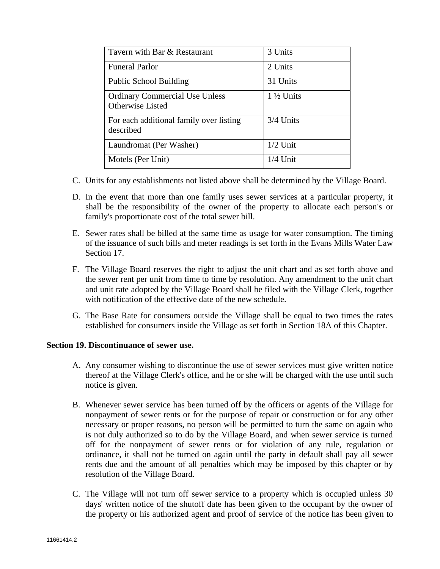| Tavern with Bar & Restaurant                                     | 3 Units              |  |  |  |
|------------------------------------------------------------------|----------------------|--|--|--|
| <b>Funeral Parlor</b>                                            | 2 Units              |  |  |  |
| <b>Public School Building</b>                                    | 31 Units             |  |  |  |
| <b>Ordinary Commercial Use Unless</b><br><b>Otherwise Listed</b> | $1\frac{1}{2}$ Units |  |  |  |
| For each additional family over listing<br>described             | $3/4$ Units          |  |  |  |
| Laundromat (Per Washer)                                          | $1/2$ Unit           |  |  |  |
| Motels (Per Unit)                                                | $1/4$ Unit           |  |  |  |

- C. Units for any establishments not listed above shall be determined by the Village Board.
- D. In the event that more than one family uses sewer services at a particular property, it shall be the responsibility of the owner of the property to allocate each person's or family's proportionate cost of the total sewer bill.
- E. Sewer rates shall be billed at the same time as usage for water consumption. The timing of the issuance of such bills and meter readings is set forth in the Evans Mills Water Law Section 17.
- F. The Village Board reserves the right to adjust the unit chart and as set forth above and the sewer rent per unit from time to time by resolution. Any amendment to the unit chart and unit rate adopted by the Village Board shall be filed with the Village Clerk, together with notification of the effective date of the new schedule.
- G. The Base Rate for consumers outside the Village shall be equal to two times the rates established for consumers inside the Village as set forth in Section 18A of this Chapter.

#### **Section 19. Discontinuance of sewer use.**

- A. Any consumer wishing to discontinue the use of sewer services must give written notice thereof at the Village Clerk's office, and he or she will be charged with the use until such notice is given.
- B. Whenever sewer service has been turned off by the officers or agents of the Village for nonpayment of sewer rents or for the purpose of repair or construction or for any other necessary or proper reasons, no person will be permitted to turn the same on again who is not duly authorized so to do by the Village Board, and when sewer service is turned off for the nonpayment of sewer rents or for violation of any rule, regulation or ordinance, it shall not be turned on again until the party in default shall pay all sewer rents due and the amount of all penalties which may be imposed by this chapter or by resolution of the Village Board.
- C. The Village will not turn off sewer service to a property which is occupied unless 30 days' written notice of the shutoff date has been given to the occupant by the owner of the property or his authorized agent and proof of service of the notice has been given to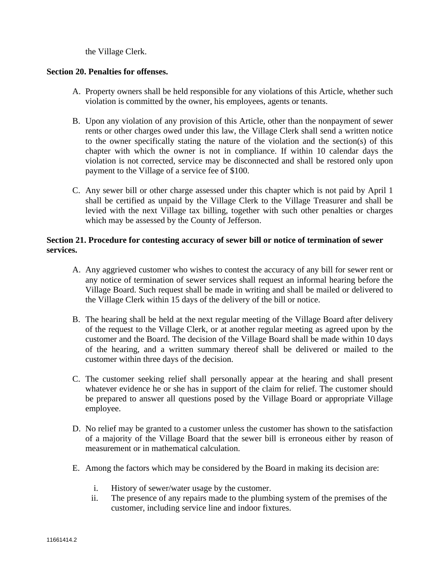the Village Clerk.

## **Section 20. Penalties for offenses.**

- A. Property owners shall be held responsible for any violations of this Article, whether such violation is committed by the owner, his employees, agents or tenants.
- B. Upon any violation of any provision of this Article, other than the nonpayment of sewer rents or other charges owed under this law, the Village Clerk shall send a written notice to the owner specifically stating the nature of the violation and the section(s) of this chapter with which the owner is not in compliance. If within 10 calendar days the violation is not corrected, service may be disconnected and shall be restored only upon payment to the Village of a service fee of \$100.
- C. Any sewer bill or other charge assessed under this chapter which is not paid by April 1 shall be certified as unpaid by the Village Clerk to the Village Treasurer and shall be levied with the next Village tax billing, together with such other penalties or charges which may be assessed by the County of Jefferson.

# **Section 21. Procedure for contesting accuracy of sewer bill or notice of termination of sewer services.**

- A. Any aggrieved customer who wishes to contest the accuracy of any bill for sewer rent or any notice of termination of sewer services shall request an informal hearing before the Village Board. Such request shall be made in writing and shall be mailed or delivered to the Village Clerk within 15 days of the delivery of the bill or notice.
- B. The hearing shall be held at the next regular meeting of the Village Board after delivery of the request to the Village Clerk, or at another regular meeting as agreed upon by the customer and the Board. The decision of the Village Board shall be made within 10 days of the hearing, and a written summary thereof shall be delivered or mailed to the customer within three days of the decision.
- C. The customer seeking relief shall personally appear at the hearing and shall present whatever evidence he or she has in support of the claim for relief. The customer should be prepared to answer all questions posed by the Village Board or appropriate Village employee.
- D. No relief may be granted to a customer unless the customer has shown to the satisfaction of a majority of the Village Board that the sewer bill is erroneous either by reason of measurement or in mathematical calculation.
- E. Among the factors which may be considered by the Board in making its decision are:
	- i. History of sewer/water usage by the customer.
	- ii. The presence of any repairs made to the plumbing system of the premises of the customer, including service line and indoor fixtures.